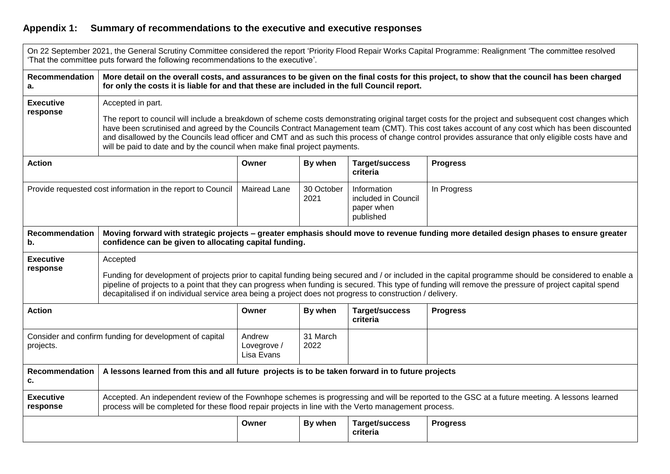## **Appendix 1: Summary of recommendations to the executive and executive responses**

|                                                                      | That the committee puts forward the following recommendations to the executive'.                                                                                                                                                                                                                                                                                                                                                                                                                                                                                |                                     |                    |                                                               | On 22 September 2021, the General Scrutiny Committee considered the report 'Priority Flood Repair Works Capital Programme: Realignment 'The committee resolved |  |  |  |
|----------------------------------------------------------------------|-----------------------------------------------------------------------------------------------------------------------------------------------------------------------------------------------------------------------------------------------------------------------------------------------------------------------------------------------------------------------------------------------------------------------------------------------------------------------------------------------------------------------------------------------------------------|-------------------------------------|--------------------|---------------------------------------------------------------|----------------------------------------------------------------------------------------------------------------------------------------------------------------|--|--|--|
| <b>Recommendation</b><br>a.                                          | More detail on the overall costs, and assurances to be given on the final costs for this project, to show that the council has been charged<br>for only the costs it is liable for and that these are included in the full Council report.                                                                                                                                                                                                                                                                                                                      |                                     |                    |                                                               |                                                                                                                                                                |  |  |  |
| <b>Executive</b><br>response                                         | Accepted in part.<br>The report to council will include a breakdown of scheme costs demonstrating original target costs for the project and subsequent cost changes which<br>have been scrutinised and agreed by the Councils Contract Management team (CMT). This cost takes account of any cost which has been discounted<br>and disallowed by the Councils lead officer and CMT and as such this process of change control provides assurance that only eligible costs have and<br>will be paid to date and by the council when make final project payments. |                                     |                    |                                                               |                                                                                                                                                                |  |  |  |
| <b>Action</b>                                                        |                                                                                                                                                                                                                                                                                                                                                                                                                                                                                                                                                                 | Owner                               | By when            | Target/success<br>criteria                                    | <b>Progress</b>                                                                                                                                                |  |  |  |
| Provide requested cost information in the report to Council          |                                                                                                                                                                                                                                                                                                                                                                                                                                                                                                                                                                 | <b>Mairead Lane</b>                 | 30 October<br>2021 | Information<br>included in Council<br>paper when<br>published | In Progress                                                                                                                                                    |  |  |  |
| Recommendation<br>b.                                                 | Moving forward with strategic projects – greater emphasis should move to revenue funding more detailed design phases to ensure greater<br>confidence can be given to allocating capital funding.                                                                                                                                                                                                                                                                                                                                                                |                                     |                    |                                                               |                                                                                                                                                                |  |  |  |
| <b>Executive</b><br>response                                         | Accepted<br>Funding for development of projects prior to capital funding being secured and / or included in the capital programme should be considered to enable a<br>pipeline of projects to a point that they can progress when funding is secured. This type of funding will remove the pressure of project capital spend<br>decapitalised if on individual service area being a project does not progress to construction / delivery.                                                                                                                       |                                     |                    |                                                               |                                                                                                                                                                |  |  |  |
| <b>Action</b>                                                        |                                                                                                                                                                                                                                                                                                                                                                                                                                                                                                                                                                 | Owner                               | By when            | Target/success<br>criteria                                    | <b>Progress</b>                                                                                                                                                |  |  |  |
| Consider and confirm funding for development of capital<br>projects. |                                                                                                                                                                                                                                                                                                                                                                                                                                                                                                                                                                 | Andrew<br>Lovegrove /<br>Lisa Evans | 31 March<br>2022   |                                                               |                                                                                                                                                                |  |  |  |
| <b>Recommendation</b><br>c.                                          | A lessons learned from this and all future projects is to be taken forward in to future projects                                                                                                                                                                                                                                                                                                                                                                                                                                                                |                                     |                    |                                                               |                                                                                                                                                                |  |  |  |
| <b>Executive</b><br>response                                         | Accepted. An independent review of the Fownhope schemes is progressing and will be reported to the GSC at a future meeting. A lessons learned<br>process will be completed for these flood repair projects in line with the Verto management process.                                                                                                                                                                                                                                                                                                           |                                     |                    |                                                               |                                                                                                                                                                |  |  |  |
|                                                                      |                                                                                                                                                                                                                                                                                                                                                                                                                                                                                                                                                                 | Owner                               | By when            | Target/success<br>criteria                                    | <b>Progress</b>                                                                                                                                                |  |  |  |